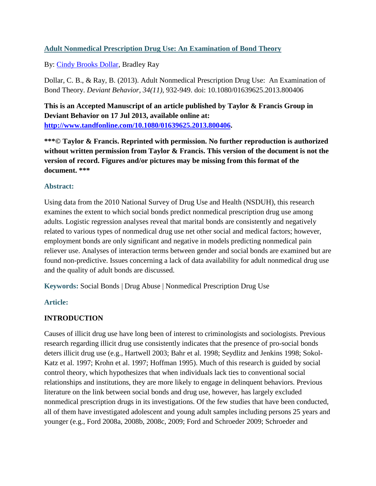# **Adult Nonmedical Prescription Drug Use: An Examination of Bond Theory**

By: [Cindy Brooks Dollar,](http://libres.uncg.edu/ir/uncg/clist.aspx?id=8487) Bradley Ray

Dollar, C. B., & Ray, B. (2013). Adult Nonmedical Prescription Drug Use: An Examination of Bond Theory. *Deviant Behavior, 34(11)*, 932-949. doi: 10.1080/01639625.2013.800406

**This is an Accepted Manuscript of an article published by Taylor & Francis Group in Deviant Behavior on 17 Jul 2013, available online at: [http://www.tandfonline.com/10.1080/01639625.2013.800406.](http://www.tandfonline.com/10.1080/01639625.2013.800406)**

**\*\*\*© Taylor & Francis. Reprinted with permission. No further reproduction is authorized without written permission from Taylor & Francis. This version of the document is not the version of record. Figures and/or pictures may be missing from this format of the document. \*\*\***

### **Abstract:**

Using data from the 2010 National Survey of Drug Use and Health (NSDUH), this research examines the extent to which social bonds predict nonmedical prescription drug use among adults. Logistic regression analyses reveal that marital bonds are consistently and negatively related to various types of nonmedical drug use net other social and medical factors; however, employment bonds are only significant and negative in models predicting nonmedical pain reliever use. Analyses of interaction terms between gender and social bonds are examined but are found non-predictive. Issues concerning a lack of data availability for adult nonmedical drug use and the quality of adult bonds are discussed.

**Keywords:** Social Bonds | Drug Abuse | Nonmedical Prescription Drug Use

# **Article:**

# **INTRODUCTION**

Causes of illicit drug use have long been of interest to criminologists and sociologists. Previous research regarding illicit drug use consistently indicates that the presence of pro-social bonds deters illicit drug use (e.g., Hartwell 2003; Bahr et al. 1998; Seydlitz and Jenkins 1998; Sokol-Katz et al. 1997; Krohn et al. 1997; Hoffman 1995). Much of this research is guided by social control theory, which hypothesizes that when individuals lack ties to conventional social relationships and institutions, they are more likely to engage in delinquent behaviors. Previous literature on the link between social bonds and drug use, however, has largely excluded nonmedical prescription drugs in its investigations. Of the few studies that have been conducted, all of them have investigated adolescent and young adult samples including persons 25 years and younger (e.g., Ford 2008a, 2008b, 2008c, 2009; Ford and Schroeder 2009; Schroeder and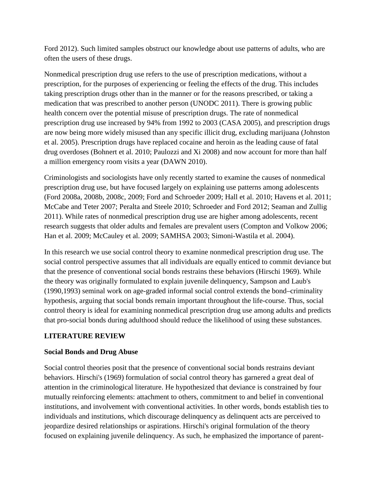Ford 2012). Such limited samples obstruct our knowledge about use patterns of adults, who are often the users of these drugs.

Nonmedical prescription drug use refers to the use of prescription medications, without a prescription, for the purposes of experiencing or feeling the effects of the drug. This includes taking prescription drugs other than in the manner or for the reasons prescribed, or taking a medication that was prescribed to another person (UNODC 2011). There is growing public health concern over the potential misuse of prescription drugs. The rate of nonmedical prescription drug use increased by 94% from 1992 to 2003 (CASA 2005), and prescription drugs are now being more widely misused than any specific illicit drug, excluding marijuana (Johnston et al. 2005). Prescription drugs have replaced cocaine and heroin as the leading cause of fatal drug overdoses (Bohnert et al. 2010; Paulozzi and Xi 2008) and now account for more than half a million emergency room visits a year (DAWN 2010).

Criminologists and sociologists have only recently started to examine the causes of nonmedical prescription drug use, but have focused largely on explaining use patterns among adolescents (Ford 2008a, 2008b, 2008c, 2009; Ford and Schroeder 2009; Hall et al. 2010; Havens et al. 2011; McCabe and Teter 2007; Peralta and Steele 2010; Schroeder and Ford 2012; Seaman and Zullig 2011). While rates of nonmedical prescription drug use are higher among adolescents, recent research suggests that older adults and females are prevalent users (Compton and Volkow 2006; Han et al. 2009; McCauley et al. 2009; SAMHSA 2003; Simoni-Wastila et al. 2004).

In this research we use social control theory to examine nonmedical prescription drug use. The social control perspective assumes that all individuals are equally enticed to commit deviance but that the presence of conventional social bonds restrains these behaviors (Hirschi 1969). While the theory was originally formulated to explain juvenile delinquency, Sampson and Laub's (1990,1993) seminal work on age-graded informal social control extends the bond–criminality hypothesis, arguing that social bonds remain important throughout the life-course. Thus, social control theory is ideal for examining nonmedical prescription drug use among adults and predicts that pro-social bonds during adulthood should reduce the likelihood of using these substances.

### **LITERATURE REVIEW**

### **Social Bonds and Drug Abuse**

Social control theories posit that the presence of conventional social bonds restrains deviant behaviors. Hirschi's (1969) formulation of social control theory has garnered a great deal of attention in the criminological literature. He hypothesized that deviance is constrained by four mutually reinforcing elements: attachment to others, commitment to and belief in conventional institutions, and involvement with conventional activities. In other words, bonds establish ties to individuals and institutions, which discourage delinquency as delinquent acts are perceived to jeopardize desired relationships or aspirations. Hirschi's original formulation of the theory focused on explaining juvenile delinquency. As such, he emphasized the importance of parent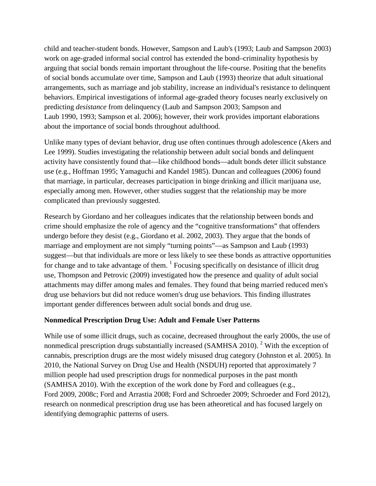child and teacher-student bonds. However, Sampson and Laub's (1993; Laub and Sampson 2003) work on age-graded informal social control has extended the bond–criminality hypothesis by arguing that social bonds remain important throughout the life-course. Positing that the benefits of social bonds accumulate over time, Sampson and Laub (1993) theorize that adult situational arrangements, such as marriage and job stability, increase an individual's resistance to delinquent behaviors. Empirical investigations of informal age-graded theory focuses nearly exclusively on predicting *desistance* from delinquency (Laub and Sampson 2003; Sampson and Laub 1990, 1993; Sampson et al. 2006); however, their work provides important elaborations about the importance of social bonds throughout adulthood.

Unlike many types of deviant behavior, drug use often continues through adolescence (Akers and Lee 1999). Studies investigating the relationship between adult social bonds and delinquent activity have consistently found that—like childhood bonds—adult bonds deter illicit substance use (e.g., Hoffman 1995; Yamaguchi and Kandel 1985). Duncan and colleagues (2006) found that marriage, in particular, decreases participation in binge drinking and illicit marijuana use, especially among men. However, other studies suggest that the relationship may be more complicated than previously suggested.

Research by Giordano and her colleagues indicates that the relationship between bonds and crime should emphasize the role of agency and the "cognitive transformations" that offenders undergo before they desist (e.g., Giordano et al. 2002, 2003). They argue that the bonds of marriage and employment are not simply "turning points"—as Sampson and Laub (1993) suggest—but that individuals are more or less likely to see these bonds as attractive opportunities for change and to take advantage of them.  $\frac{1}{1}$  Focusing specifically on desistance of illicit drug use, Thompson and Petrovic (2009) investigated how the presence and quality of adult social attachments may differ among males and females. They found that being married reduced men's drug use behaviors but did not reduce women's drug use behaviors. This finding illustrates important gender differences between adult social bonds and drug use.

### **Nonmedical Prescription Drug Use: Adult and Female User Patterns**

While use of some illicit drugs, such as cocaine, decreased throughout the early 2000s, the use of nonmedical prescription drugs substantially increased (SAMHSA 2010).<sup>2</sup> With the exception of cannabis, prescription drugs are the most widely misused drug category (Johnston et al. 2005). In 2010, the National Survey on Drug Use and Health (NSDUH) reported that approximately 7 million people had used prescription drugs for nonmedical purposes in the past month (SAMHSA 2010). With the exception of the work done by Ford and colleagues (e.g., Ford 2009, 2008c; Ford and Arrastia 2008; Ford and Schroeder 2009; Schroeder and Ford 2012), research on nonmedical prescription drug use has been atheoretical and has focused largely on identifying demographic patterns of users.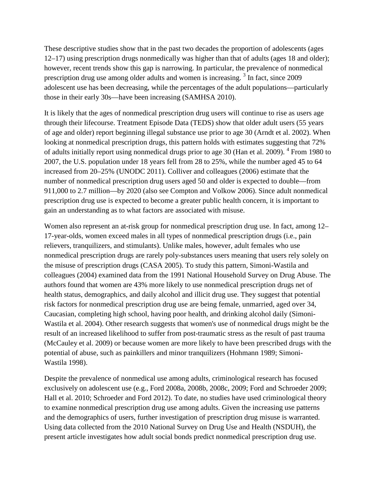These descriptive studies show that in the past two decades the proportion of adolescents (ages 12–17) using prescription drugs nonmedically was higher than that of adults (ages 18 and older); however, recent trends show this gap is narrowing. In particular, the prevalence of nonmedical prescription drug use among older adults and women is increasing.<sup>3</sup> In fact, since 2009 adolescent use has been decreasing, while the percentages of the adult populations—particularly those in their early 30s—have been increasing (SAMHSA 2010).

It is likely that the ages of nonmedical prescription drug users will continue to rise as users age through their lifecourse. Treatment Episode Data (TEDS) show that older adult users (55 years of age and older) report beginning illegal substance use prior to age 30 (Arndt et al. 2002). When looking at nonmedical prescription drugs, this pattern holds with estimates suggesting that 72% of adults initially report using nonmedical drugs prior to age 30 (Han et al. 2009). <sup>4</sup> From 1980 to 2007, the U.S. population under 18 years fell from 28 to 25%, while the number aged 45 to 64 increased from 20–25% (UNODC 2011). Colliver and colleagues (2006) estimate that the number of nonmedical prescription drug users aged 50 and older is expected to double—from 911,000 to 2.7 million—by 2020 (also see Compton and Volkow 2006). Since adult nonmedical prescription drug use is expected to become a greater public health concern, it is important to gain an understanding as to what factors are associated with misuse.

Women also represent an at-risk group for nonmedical prescription drug use. In fact, among 12– 17-year-olds, women exceed males in all types of nonmedical prescription drugs (i.e., pain relievers, tranquilizers, and stimulants). Unlike males, however, adult females who use nonmedical prescription drugs are rarely poly-substances users meaning that users rely solely on the misuse of prescription drugs (CASA 2005). To study this pattern, Simoni-Wastila and colleagues (2004) examined data from the 1991 National Household Survey on Drug Abuse. The authors found that women are 43% more likely to use nonmedical prescription drugs net of health status, demographics, and daily alcohol and illicit drug use. They suggest that potential risk factors for nonmedical prescription drug use are being female, unmarried, aged over 34, Caucasian, completing high school, having poor health, and drinking alcohol daily (Simoni-Wastila et al. 2004). Other research suggests that women's use of nonmedical drugs might be the result of an increased likelihood to suffer from post-traumatic stress as the result of past trauma (McCauley et al. 2009) or because women are more likely to have been prescribed drugs with the potential of abuse, such as painkillers and minor tranquilizers (Hohmann 1989; Simoni-Wastila 1998).

Despite the prevalence of nonmedical use among adults, criminological research has focused exclusively on adolescent use (e.g., Ford 2008a, 2008b, 2008c, 2009; Ford and Schroeder 2009; Hall et al. 2010; Schroeder and Ford 2012). To date, no studies have used criminological theory to examine nonmedical prescription drug use among adults. Given the increasing use patterns and the demographics of users, further investigation of prescription drug misuse is warranted. Using data collected from the 2010 National Survey on Drug Use and Health (NSDUH), the present article investigates how adult social bonds predict nonmedical prescription drug use.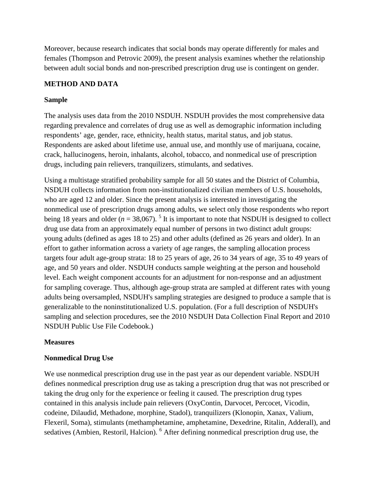Moreover, because research indicates that social bonds may operate differently for males and females (Thompson and Petrovic 2009), the present analysis examines whether the relationship between adult social bonds and non-prescribed prescription drug use is contingent on gender.

### **METHOD AND DATA**

### **Sample**

The analysis uses data from the 2010 NSDUH. NSDUH provides the most comprehensive data regarding prevalence and correlates of drug use as well as demographic information including respondents' age, gender, race, ethnicity, health status, marital status, and job status. Respondents are asked about lifetime use, annual use, and monthly use of marijuana, cocaine, crack, hallucinogens, heroin, inhalants, alcohol, tobacco, and nonmedical use of prescription drugs, including pain relievers, tranquilizers, stimulants, and sedatives.

Using a multistage stratified probability sample for all 50 states and the District of Columbia, NSDUH collects information from non-institutionalized civilian members of U.S. households, who are aged 12 and older. Since the present analysis is interested in investigating the nonmedical use of prescription drugs among adults, we select only those respondents who report being 18 years and older ( $n = 38,067$ ). <sup>5</sup> It is important to note that NSDUH is designed to collect drug use data from an approximately equal number of persons in two distinct adult groups: young adults (defined as ages 18 to 25) and other adults (defined as 26 years and older). In an effort to gather information across a variety of age ranges, the sampling allocation process targets four adult age-group strata: 18 to 25 years of age, 26 to 34 years of age, 35 to 49 years of age, and 50 years and older. NSDUH conducts sample weighting at the person and household level. Each weight component accounts for an adjustment for non-response and an adjustment for sampling coverage. Thus, although age-group strata are sampled at different rates with young adults being oversampled, NSDUH's sampling strategies are designed to produce a sample that is generalizable to the noninstitutionalized U.S. population. (For a full description of NSDUH's sampling and selection procedures, see the 2010 NSDUH Data Collection Final Report and 2010 NSDUH Public Use File Codebook.)

# **Measures**

# **Nonmedical Drug Use**

We use nonmedical prescription drug use in the past year as our dependent variable. NSDUH defines nonmedical prescription drug use as taking a prescription drug that was not prescribed or taking the drug only for the experience or feeling it caused. The prescription drug types contained in this analysis include pain relievers (OxyContin, Darvocet, Percocet, Vicodin, codeine, Dilaudid, Methadone, morphine, Stadol), tranquilizers (Klonopin, Xanax, Valium, Flexeril, Soma), stimulants (methamphetamine, amphetamine, Dexedrine, Ritalin, Adderall), and sedatives (Ambien, Restoril, Halcion). <sup>6</sup> After defining nonmedical prescription drug use, the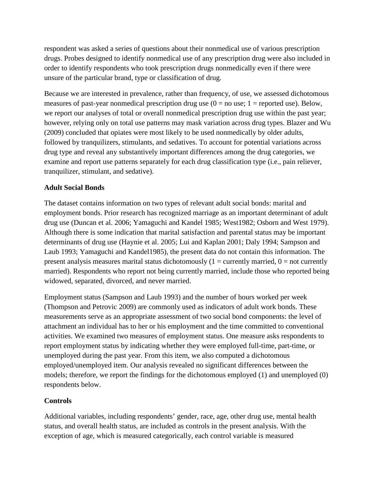respondent was asked a series of questions about their nonmedical use of various prescription drugs. Probes designed to identify nonmedical use of any prescription drug were also included in order to identify respondents who took prescription drugs nonmedically even if there were unsure of the particular brand, type or classification of drug.

Because we are interested in prevalence, rather than frequency, of use, we assessed dichotomous measures of past-year nonmedical prescription drug use  $(0 = no$  use; 1 = reported use). Below, we report our analyses of total or overall nonmedical prescription drug use within the past year; however, relying only on total use patterns may mask variation across drug types. Blazer and Wu (2009) concluded that opiates were most likely to be used nonmedically by older adults, followed by tranquilizers, stimulants, and sedatives. To account for potential variations across drug type and reveal any substantively important differences among the drug categories, we examine and report use patterns separately for each drug classification type (i.e., pain reliever, tranquilizer, stimulant, and sedative).

#### **Adult Social Bonds**

The dataset contains information on two types of relevant adult social bonds: marital and employment bonds. Prior research has recognized marriage as an important determinant of adult drug use (Duncan et al. 2006; Yamaguchi and Kandel 1985; West1982; Osborn and West 1979). Although there is some indication that marital satisfaction and parental status may be important determinants of drug use (Haynie et al. 2005; Lui and Kaplan 2001; Daly 1994; Sampson and Laub 1993; Yamaguchi and Kandel1985), the present data do not contain this information. The present analysis measures marital status dichotomously  $(1 =$  currently married,  $0 =$  not currently married). Respondents who report not being currently married, include those who reported being widowed, separated, divorced, and never married.

Employment status (Sampson and Laub 1993) and the number of hours worked per week (Thompson and Petrovic 2009) are commonly used as indicators of adult work bonds. These measurements serve as an appropriate assessment of two social bond components: the level of attachment an individual has to her or his employment and the time committed to conventional activities. We examined two measures of employment status. One measure asks respondents to report employment status by indicating whether they were employed full-time, part-time, or unemployed during the past year. From this item, we also computed a dichotomous employed/unemployed item. Our analysis revealed no significant differences between the models; therefore, we report the findings for the dichotomous employed (1) and unemployed (0) respondents below.

### **Controls**

Additional variables, including respondents' gender, race, age, other drug use, mental health status, and overall health status, are included as controls in the present analysis. With the exception of age, which is measured categorically, each control variable is measured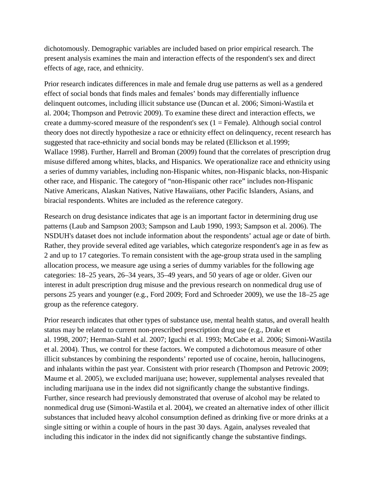dichotomously. Demographic variables are included based on prior empirical research. The present analysis examines the main and interaction effects of the respondent's sex and direct effects of age, race, and ethnicity.

Prior research indicates differences in male and female drug use patterns as well as a gendered effect of social bonds that finds males and females' bonds may differentially influence delinquent outcomes, including illicit substance use (Duncan et al. 2006; Simoni-Wastila et al. 2004; Thompson and Petrovic 2009). To examine these direct and interaction effects, we create a dummy-scored measure of the respondent's sex  $(1 =$  Female). Although social control theory does not directly hypothesize a race or ethnicity effect on delinquency, recent research has suggested that race-ethnicity and social bonds may be related (Ellickson et al.1999; Wallace 1998). Further, Harrell and Broman (2009) found that the correlates of prescription drug misuse differed among whites, blacks, and Hispanics. We operationalize race and ethnicity using a series of dummy variables, including non-Hispanic whites, non-Hispanic blacks, non-Hispanic other race, and Hispanic. The category of "non-Hispanic other race" includes non-Hispanic Native Americans, Alaskan Natives, Native Hawaiians, other Pacific Islanders, Asians, and biracial respondents. Whites are included as the reference category.

Research on drug desistance indicates that age is an important factor in determining drug use patterns (Laub and Sampson 2003; Sampson and Laub 1990, 1993; Sampson et al. 2006). The NSDUH's dataset does not include information about the respondents' actual age or date of birth. Rather, they provide several edited age variables, which categorize respondent's age in as few as 2 and up to 17 categories. To remain consistent with the age-group strata used in the sampling allocation process, we measure age using a series of dummy variables for the following age categories: 18–25 years, 26–34 years, 35–49 years, and 50 years of age or older. Given our interest in adult prescription drug misuse and the previous research on nonmedical drug use of persons 25 years and younger (e.g., Ford 2009; Ford and Schroeder 2009), we use the 18–25 age group as the reference category.

Prior research indicates that other types of substance use, mental health status, and overall health status may be related to current non-prescribed prescription drug use (e.g., Drake et al. 1998, 2007; Herman-Stahl et al. 2007; Iguchi et al. 1993; McCabe et al. 2006; Simoni-Wastila et al. 2004). Thus, we control for these factors. We computed a dichotomous measure of other illicit substances by combining the respondents' reported use of cocaine, heroin, hallucinogens, and inhalants within the past year. Consistent with prior research (Thompson and Petrovic 2009; Maume et al. 2005), we excluded marijuana use; however, supplemental analyses revealed that including marijuana use in the index did not significantly change the substantive findings. Further, since research had previously demonstrated that overuse of alcohol may be related to nonmedical drug use (Simoni-Wastila et al. 2004), we created an alternative index of other illicit substances that included heavy alcohol consumption defined as drinking five or more drinks at a single sitting or within a couple of hours in the past 30 days. Again, analyses revealed that including this indicator in the index did not significantly change the substantive findings.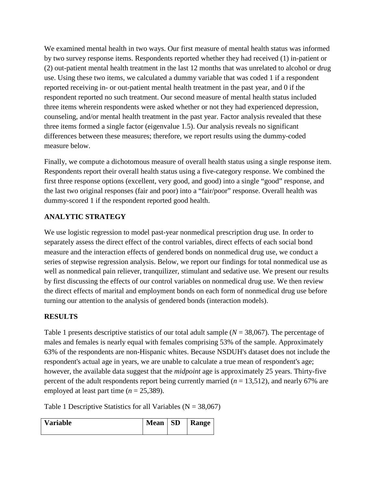We examined mental health in two ways. Our first measure of mental health status was informed by two survey response items. Respondents reported whether they had received (1) in-patient or (2) out-patient mental health treatment in the last 12 months that was unrelated to alcohol or drug use. Using these two items, we calculated a dummy variable that was coded 1 if a respondent reported receiving in- or out-patient mental health treatment in the past year, and 0 if the respondent reported no such treatment. Our second measure of mental health status included three items wherein respondents were asked whether or not they had experienced depression, counseling, and/or mental health treatment in the past year. Factor analysis revealed that these three items formed a single factor (eigenvalue 1.5). Our analysis reveals no significant differences between these measures; therefore, we report results using the dummy-coded measure below.

Finally, we compute a dichotomous measure of overall health status using a single response item. Respondents report their overall health status using a five-category response. We combined the first three response options (excellent, very good, and good) into a single "good" response, and the last two original responses (fair and poor) into a "fair/poor" response. Overall health was dummy-scored 1 if the respondent reported good health.

# **ANALYTIC STRATEGY**

We use logistic regression to model past-year nonmedical prescription drug use. In order to separately assess the direct effect of the control variables, direct effects of each social bond measure and the interaction effects of gendered bonds on nonmedical drug use, we conduct a series of stepwise regression analysis. Below, we report our findings for total nonmedical use as well as nonmedical pain reliever, tranquilizer, stimulant and sedative use. We present our results by first discussing the effects of our control variables on nonmedical drug use. We then review the direct effects of marital and employment bonds on each form of nonmedical drug use before turning our attention to the analysis of gendered bonds (interaction models).

# **RESULTS**

Table 1 presents descriptive statistics of our total adult sample (*N* = 38,067). The percentage of males and females is nearly equal with females comprising 53% of the sample. Approximately 63% of the respondents are non-Hispanic whites. Because NSDUH's dataset does not include the respondent's actual age in years, we are unable to calculate a true mean of respondent's age; however, the available data suggest that the *midpoint* age is approximately 25 years. Thirty-five percent of the adult respondents report being currently married (*n* = 13,512), and nearly 67% are employed at least part time  $(n = 25,389)$ .

Table 1 Descriptive Statistics for all Variables ( $N = 38,067$ )

| <b>Variable</b> | Mean $\vert$ SD | Range |
|-----------------|-----------------|-------|
|                 |                 |       |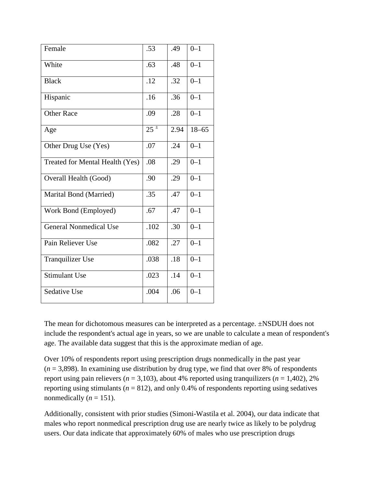| Female                          | .53                | .49  | $0 - 1$   |
|---------------------------------|--------------------|------|-----------|
| White                           | .63                | .48  | $0 - 1$   |
| <b>Black</b>                    | .12                | .32  | $0 - 1$   |
| Hispanic                        | .16                | .36  | $0 - 1$   |
| <b>Other Race</b>               | .09                | .28  | $0 - 1$   |
| Age                             | $25^{\frac{1}{5}}$ | 2.94 | $18 - 65$ |
| Other Drug Use (Yes)            | .07                | .24  | $0 - 1$   |
| Treated for Mental Health (Yes) | .08                | .29  | $0 - 1$   |
| Overall Health (Good)           | .90                | .29  | $0 - 1$   |
| Marital Bond (Married)          | .35                | .47  | $0 - 1$   |
| Work Bond (Employed)            | .67                | .47  | $0 - 1$   |
| <b>General Nonmedical Use</b>   | .102               | .30  | $0 - 1$   |
| Pain Reliever Use               | .082               | .27  | $0 - 1$   |
| <b>Tranquilizer Use</b>         | .038               | .18  | $0 - 1$   |
| <b>Stimulant Use</b>            | .023               | .14  | $0 - 1$   |
| <b>Sedative Use</b>             | .004               | .06  | $0 - 1$   |

The mean for dichotomous measures can be interpreted as a percentage. ±NSDUH does not include the respondent's actual age in years, so we are unable to calculate a mean of respondent's age. The available data suggest that this is the approximate median of age.

Over 10% of respondents report using prescription drugs nonmedically in the past year  $(n = 3,898)$ . In examining use distribution by drug type, we find that over 8% of respondents report using pain relievers ( $n = 3,103$ ), about 4% reported using tranquilizers ( $n = 1,402$ ), 2% reporting using stimulants ( $n = 812$ ), and only 0.4% of respondents reporting using sedatives nonmedically  $(n = 151)$ .

Additionally, consistent with prior studies (Simoni-Wastila et al. 2004), our data indicate that males who report nonmedical prescription drug use are nearly twice as likely to be polydrug users. Our data indicate that approximately 60% of males who use prescription drugs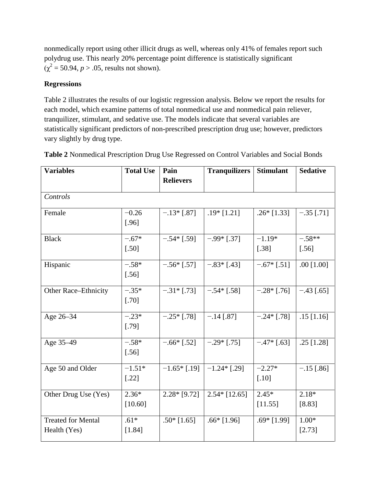nonmedically report using other illicit drugs as well, whereas only 41% of females report such polydrug use. This nearly 20% percentage point difference is statistically significant  $(\chi^2 = 50.94, p > .05$ , results not shown).

### **Regressions**

Table 2 illustrates the results of our logistic regression analysis. Below we report the results for each model, which examine patterns of total nonmedical use and nonmedical pain reliever, tranquilizer, stimulant, and sedative use. The models indicate that several variables are statistically significant predictors of non-prescribed prescription drug use; however, predictors vary slightly by drug type.

| <b>Variables</b>                          | <b>Total Use</b>    | Pain<br><b>Relievers</b> | <b>Tranquilizers</b> | <b>Stimulant</b>          | <b>Sedative</b>     |
|-------------------------------------------|---------------------|--------------------------|----------------------|---------------------------|---------------------|
| Controls                                  |                     |                          |                      |                           |                     |
| Female                                    | $-0.26$<br>[.96]    | $-.13*$ [.87]            | $.19*$ [1.21]        | $.26*$ [1.33]             | $-.35$ [.71]        |
| <b>Black</b>                              | $-.67*$<br>$[.50]$  | $-.54*$ [.59]            | $-.99*$ [.37]        | $-1.19*$<br>[.38]         | $-.58**$<br>$[.56]$ |
| Hispanic                                  | $-.58*$<br>$[.56]$  | $-.56*$ [.57]            | $-83*$ [.43]         | $-.67*$ [.51]             | $.00$ [1.00]        |
| Other Race-Ethnicity                      | $-.35*$<br>$[.70]$  | $-.31*$ [.73]            | $-54$ [.58]          | $-.28*$ [.76]             | $-.43$ [.65]        |
| Age 26-34                                 | $-.23*$<br>[.79]    | $-.25*$ [.78]            | $-.14$ [.87]         | $-.24$ <sup>*</sup> [.78] | $.15$ [1.16]        |
| Age 35-49                                 | $-.58*$<br>$[.56]$  | $-.66*$ [.52]            | $-0.29*$ [.75]       | $-.47*$ [.63]             | $.25$ [1.28]        |
| Age 50 and Older                          | $-1.51*$<br>$[.22]$ | $-1.65*$ [.19]           | $-1.24$ * [.29]      | $-2.27*$<br>$[.10]$       | $-.15$ [.86]        |
| Other Drug Use (Yes)                      | $2.36*$<br>[10.60]  | $2.28*$ [9.72]           | $2.54*$ [12.65]      | $2.45*$<br>[11.55]        | $2.18*$<br>[8.83]   |
| <b>Treated for Mental</b><br>Health (Yes) | $.61*$<br>[1.84]    | $.50*$ [1.65]            | $.66*$ [1.96]        | $.69*$ [1.99]             | $1.00*$<br>[2.73]   |

**Table 2** Nonmedical Prescription Drug Use Regressed on Control Variables and Social Bonds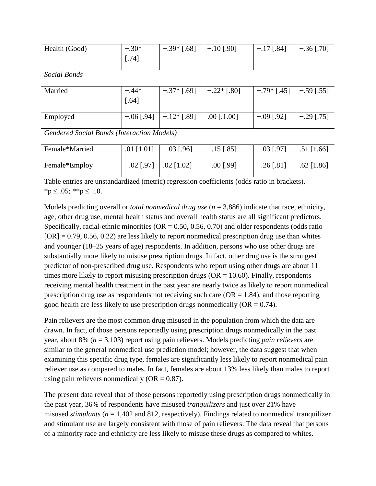| Health (Good)                                     | $-.30*$              | $-.39*$ [.68] | $-.10$ [.90]  | $-.17$ [.84]  | $-.36$ [.70] |
|---------------------------------------------------|----------------------|---------------|---------------|---------------|--------------|
|                                                   | [.74]                |               |               |               |              |
|                                                   |                      |               |               |               |              |
| Social Bonds                                      |                      |               |               |               |              |
| Married                                           | $-.44*$              | $-.37*$ [.69] | $-.22*$ [.80] | $-.79*$ [.45] | $-.59$ [.55] |
|                                                   | $\left[ .64 \right]$ |               |               |               |              |
| Employed                                          | $-.06$ [.94]         | $-.12*$ [.89] | $.00$ [.1.00] | $-.09$ [.92]  | $-.29$ [.75] |
| <b>Gendered Social Bonds (Interaction Models)</b> |                      |               |               |               |              |
| Female*Married                                    | $.01$ [1.01]         | $-.03$ [.96]  | $-.15$ [.85]  | $-.03$ [.97]  | $.51$ [1.66] |
| Female*Employ                                     | $-.02$ [.97]         | $.02$ [1.02]  | $-.00$ [.99]  | $-.26$ [.81]  | $.62$ [1.86] |

Table entries are unstandardized (metric) regression coefficients (odds ratio in brackets).  $***p** ≤ .05; ****p** ≤ .10.$ 

Models predicting overall or *total nonmedical drug use* (*n* = 3,886) indicate that race, ethnicity, age, other drug use, mental health status and overall health status are all significant predictors. Specifically, racial-ethnic minorities ( $OR = 0.50$ ,  $0.56$ ,  $0.70$ ) and older respondents (odds ratio  $[OR] = 0.79, 0.56, 0.22$  are less likely to report nonmedical prescription drug use than whites and younger (18–25 years of age) respondents. In addition, persons who use other drugs are substantially more likely to misuse prescription drugs. In fact, other drug use is the strongest predictor of non-prescribed drug use. Respondents who report using other drugs are about 11 times more likely to report misusing prescription drugs ( $OR = 10.60$ ). Finally, respondents receiving mental health treatment in the past year are nearly twice as likely to report nonmedical prescription drug use as respondents not receiving such care  $(OR = 1.84)$ , and those reporting good health are less likely to use prescription drugs nonmedically  $(OR = 0.74)$ .

Pain relievers are the most common drug misused in the population from which the data are drawn. In fact, of those persons reportedly using prescription drugs nonmedically in the past year, about 8% (*n* = 3,103) report using pain relievers. Models predicting *pain relievers* are similar to the general nonmedical use prediction model; however, the data suggest that when examining this specific drug type, females are significantly less likely to report nonmedical pain reliever use as compared to males. In fact, females are about 13% less likely than males to report using pain relievers nonmedically  $(OR = 0.87)$ .

The present data reveal that of those persons reportedly using prescription drugs nonmedically in the past year, 36% of respondents have misused *tranquilizers* and just over 21% have misused *stimulants* (*n* = 1,402 and 812, respectively). Findings related to nonmedical tranquilizer and stimulant use are largely consistent with those of pain relievers. The data reveal that persons of a minority race and ethnicity are less likely to misuse these drugs as compared to whites.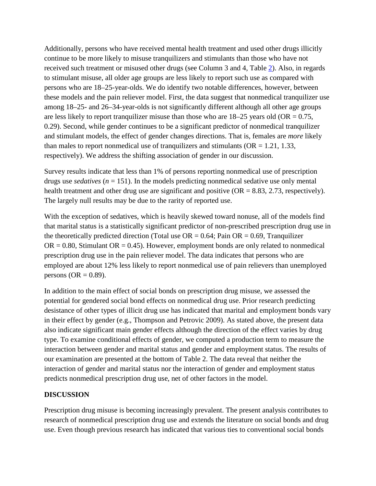Additionally, persons who have received mental health treatment and used other drugs illicitly continue to be more likely to misuse tranquilizers and stimulants than those who have not received such treatment or misused other drugs (see Column 3 and 4, Table [2\)](http://www.tandfonline.com/action/showPopup?citid=citart1&id=T0002&doi=10.1080/01639625.2013.800406). Also, in regards to stimulant misuse, all older age groups are less likely to report such use as compared with persons who are 18–25-year-olds. We do identify two notable differences, however, between these models and the pain reliever model. First, the data suggest that nonmedical tranquilizer use among 18–25- and 26–34-year-olds is not significantly different although all other age groups are less likely to report tranquilizer misuse than those who are  $18-25$  years old (OR = 0.75, 0.29). Second, while gender continues to be a significant predictor of nonmedical tranquilizer and stimulant models, the effect of gender changes directions. That is, females are *more* likely than males to report nonmedical use of tranquilizers and stimulants ( $OR = 1.21$ , 1.33, respectively). We address the shifting association of gender in our discussion.

Survey results indicate that less than 1% of persons reporting nonmedical use of prescription drugs use *sedatives* ( $n = 151$ ). In the models predicting nonmedical sedative use only mental health treatment and other drug use are significant and positive  $(OR = 8.83, 2.73, respectively)$ . The largely null results may be due to the rarity of reported use.

With the exception of sedatives, which is heavily skewed toward nonuse, all of the models find that marital status is a statistically significant predictor of non-prescribed prescription drug use in the theoretically predicted direction (Total use  $OR = 0.64$ ; Pain  $OR = 0.69$ , Tranquilizer  $OR = 0.80$ , Stimulant  $OR = 0.45$ ). However, employment bonds are only related to nonmedical prescription drug use in the pain reliever model. The data indicates that persons who are employed are about 12% less likely to report nonmedical use of pain relievers than unemployed persons (OR  $= 0.89$ ).

In addition to the main effect of social bonds on prescription drug misuse, we assessed the potential for gendered social bond effects on nonmedical drug use. Prior research predicting desistance of other types of illicit drug use has indicated that marital and employment bonds vary in their effect by gender (e.g., Thompson and Petrovic 2009). As stated above, the present data also indicate significant main gender effects although the direction of the effect varies by drug type. To examine conditional effects of gender, we computed a production term to measure the interaction between gender and marital status and gender and employment status. The results of our examination are presented at the bottom of Table 2. The data reveal that neither the interaction of gender and marital status nor the interaction of gender and employment status predicts nonmedical prescription drug use, net of other factors in the model.

### **DISCUSSION**

Prescription drug misuse is becoming increasingly prevalent. The present analysis contributes to research of nonmedical prescription drug use and extends the literature on social bonds and drug use. Even though previous research has indicated that various ties to conventional social bonds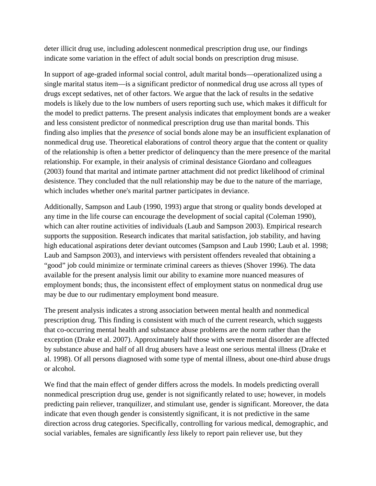deter illicit drug use, including adolescent nonmedical prescription drug use, our findings indicate some variation in the effect of adult social bonds on prescription drug misuse.

In support of age-graded informal social control, adult marital bonds—operationalized using a single marital status item—is a significant predictor of nonmedical drug use across all types of drugs except sedatives, net of other factors. We argue that the lack of results in the sedative models is likely due to the low numbers of users reporting such use, which makes it difficult for the model to predict patterns. The present analysis indicates that employment bonds are a weaker and less consistent predictor of nonmedical prescription drug use than marital bonds. This finding also implies that the *presence* of social bonds alone may be an insufficient explanation of nonmedical drug use. Theoretical elaborations of control theory argue that the content or quality of the relationship is often a better predictor of delinquency than the mere presence of the marital relationship. For example, in their analysis of criminal desistance Giordano and colleagues (2003) found that marital and intimate partner attachment did not predict likelihood of criminal desistence. They concluded that the null relationship may be due to the nature of the marriage, which includes whether one's marital partner participates in deviance.

Additionally, Sampson and Laub (1990, 1993) argue that strong or quality bonds developed at any time in the life course can encourage the development of social capital (Coleman 1990), which can alter routine activities of individuals (Laub and Sampson 2003). Empirical research supports the supposition. Research indicates that marital satisfaction, job stability, and having high educational aspirations deter deviant outcomes (Sampson and Laub 1990; Laub et al. 1998; Laub and Sampson 2003), and interviews with persistent offenders revealed that obtaining a "good" job could minimize or terminate criminal careers as thieves (Shover 1996). The data available for the present analysis limit our ability to examine more nuanced measures of employment bonds; thus, the inconsistent effect of employment status on nonmedical drug use may be due to our rudimentary employment bond measure.

The present analysis indicates a strong association between mental health and nonmedical prescription drug. This finding is consistent with much of the current research, which suggests that co-occurring mental health and substance abuse problems are the norm rather than the exception (Drake et al. 2007). Approximately half those with severe mental disorder are affected by substance abuse and half of all drug abusers have a least one serious mental illness (Drake et al. 1998). Of all persons diagnosed with some type of mental illness, about one-third abuse drugs or alcohol.

We find that the main effect of gender differs across the models. In models predicting overall nonmedical prescription drug use, gender is not significantly related to use; however, in models predicting pain reliever, tranquilizer, and stimulant use, gender is significant. Moreover, the data indicate that even though gender is consistently significant, it is not predictive in the same direction across drug categories. Specifically, controlling for various medical, demographic, and social variables, females are significantly *less* likely to report pain reliever use, but they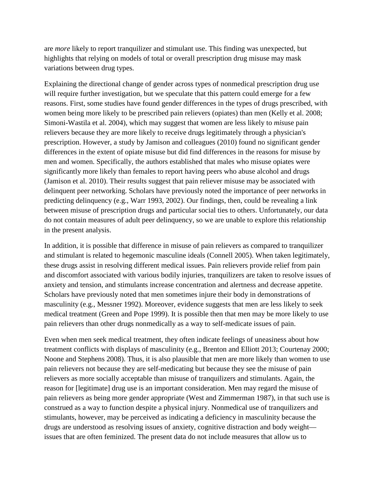are *more* likely to report tranquilizer and stimulant use. This finding was unexpected, but highlights that relying on models of total or overall prescription drug misuse may mask variations between drug types.

Explaining the directional change of gender across types of nonmedical prescription drug use will require further investigation, but we speculate that this pattern could emerge for a few reasons. First, some studies have found gender differences in the types of drugs prescribed, with women being more likely to be prescribed pain relievers (opiates) than men (Kelly et al. 2008; Simoni-Wastila et al. 2004), which may suggest that women are less likely to *mis*use pain relievers because they are more likely to receive drugs legitimately through a physician's prescription. However, a study by Jamison and colleagues (2010) found no significant gender differences in the extent of opiate misuse but did find differences in the reasons for misuse by men and women. Specifically, the authors established that males who misuse opiates were significantly more likely than females to report having peers who abuse alcohol and drugs (Jamison et al. 2010). Their results suggest that pain reliever misuse may be associated with delinquent peer networking. Scholars have previously noted the importance of peer networks in predicting delinquency (e.g., Warr 1993, 2002). Our findings, then, could be revealing a link between misuse of prescription drugs and particular social ties to others. Unfortunately, our data do not contain measures of adult peer delinquency, so we are unable to explore this relationship in the present analysis.

In addition, it is possible that difference in misuse of pain relievers as compared to tranquilizer and stimulant is related to hegemonic masculine ideals (Connell 2005). When taken legitimately, these drugs assist in resolving different medical issues. Pain relievers provide relief from pain and discomfort associated with various bodily injuries, tranquilizers are taken to resolve issues of anxiety and tension, and stimulants increase concentration and alertness and decrease appetite. Scholars have previously noted that men sometimes injure their body in demonstrations of masculinity (e.g., Messner 1992). Moreover, evidence suggests that men are less likely to seek medical treatment (Green and Pope 1999). It is possible then that men may be more likely to use pain relievers than other drugs nonmedically as a way to self-medicate issues of pain.

Even when men seek medical treatment, they often indicate feelings of uneasiness about how treatment conflicts with displays of masculinity (e.g., Brenton and Elliott 2013; Courtenay 2000; Noone and Stephens 2008). Thus, it is also plausible that men are more likely than women to use pain relievers not because they are self-medicating but because they see the misuse of pain relievers as more socially acceptable than misuse of tranquilizers and stimulants. Again, the reason for [legitimate] drug use is an important consideration. Men may regard the misuse of pain relievers as being more gender appropriate (West and Zimmerman 1987), in that such use is construed as a way to function despite a physical injury. Nonmedical use of tranquilizers and stimulants, however, may be perceived as indicating a deficiency in masculinity because the drugs are understood as resolving issues of anxiety, cognitive distraction and body weight issues that are often feminized. The present data do not include measures that allow us to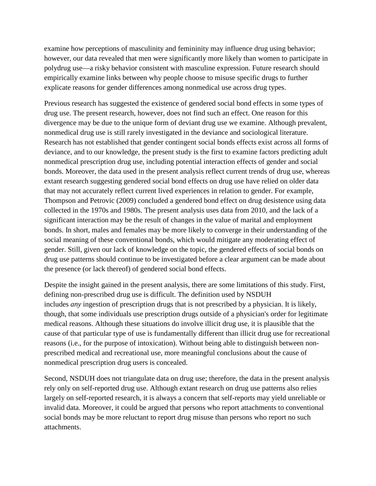examine how perceptions of masculinity and femininity may influence drug using behavior; however, our data revealed that men were significantly more likely than women to participate in polydrug use—a risky behavior consistent with masculine expression. Future research should empirically examine links between why people choose to misuse specific drugs to further explicate reasons for gender differences among nonmedical use across drug types.

Previous research has suggested the existence of gendered social bond effects in some types of drug use. The present research, however, does not find such an effect. One reason for this divergence may be due to the unique form of deviant drug use we examine. Although prevalent, nonmedical drug use is still rarely investigated in the deviance and sociological literature. Research has not established that gender contingent social bonds effects exist across all forms of deviance, and to our knowledge, the present study is the first to examine factors predicting adult nonmedical prescription drug use, including potential interaction effects of gender and social bonds. Moreover, the data used in the present analysis reflect current trends of drug use, whereas extant research suggesting gendered social bond effects on drug use have relied on older data that may not accurately reflect current lived experiences in relation to gender. For example, Thompson and Petrovic (2009) concluded a gendered bond effect on drug desistence using data collected in the 1970s and 1980s. The present analysis uses data from 2010, and the lack of a significant interaction may be the result of changes in the value of marital and employment bonds. In short, males and females may be more likely to converge in their understanding of the social meaning of these conventional bonds, which would mitigate any moderating effect of gender. Still, given our lack of knowledge on the topic, the gendered effects of social bonds on drug use patterns should continue to be investigated before a clear argument can be made about the presence (or lack thereof) of gendered social bond effects.

Despite the insight gained in the present analysis, there are some limitations of this study. First, defining non-prescribed drug use is difficult. The definition used by NSDUH includes *any* ingestion of prescription drugs that is not prescribed by a physician. It is likely, though, that some individuals use prescription drugs outside of a physician's order for legitimate medical reasons. Although these situations do involve illicit drug use, it is plausible that the cause of that particular type of use is fundamentally different than illicit drug use for recreational reasons (i.e., for the purpose of intoxication). Without being able to distinguish between nonprescribed medical and recreational use, more meaningful conclusions about the cause of nonmedical prescription drug users is concealed.

Second, NSDUH does not triangulate data on drug use; therefore, the data in the present analysis rely only on self-reported drug use. Although extant research on drug use patterns also relies largely on self-reported research, it is always a concern that self-reports may yield unreliable or invalid data. Moreover, it could be argued that persons who report attachments to conventional social bonds may be more reluctant to report drug misuse than persons who report no such attachments.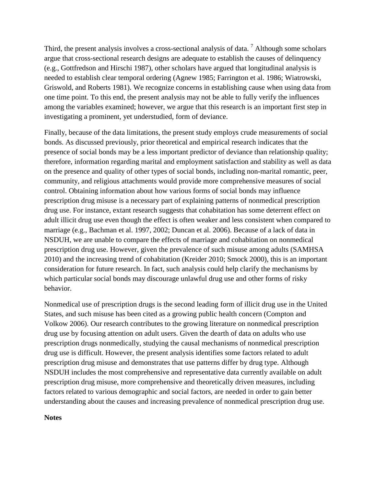Third, the present analysis involves a cross-sectional analysis of data.<sup>7</sup> Although some scholars argue that cross-sectional research designs are adequate to establish the causes of delinquency (e.g., Gottfredson and Hirschi 1987), other scholars have argued that longitudinal analysis is needed to establish clear temporal ordering (Agnew 1985; Farrington et al. 1986; Wiatrowski, Griswold, and Roberts 1981). We recognize concerns in establishing cause when using data from one time point. To this end, the present analysis may not be able to fully verify the influences among the variables examined; however, we argue that this research is an important first step in investigating a prominent, yet understudied, form of deviance.

Finally, because of the data limitations, the present study employs crude measurements of social bonds. As discussed previously, prior theoretical and empirical research indicates that the presence of social bonds may be a less important predictor of deviance than relationship quality; therefore, information regarding marital and employment satisfaction and stability as well as data on the presence and quality of other types of social bonds, including non-marital romantic, peer, community, and religious attachments would provide more comprehensive measures of social control. Obtaining information about how various forms of social bonds may influence prescription drug misuse is a necessary part of explaining patterns of nonmedical prescription drug use. For instance, extant research suggests that cohabitation has some deterrent effect on adult illicit drug use even though the effect is often weaker and less consistent when compared to marriage (e.g., Bachman et al. 1997, 2002; Duncan et al. 2006). Because of a lack of data in NSDUH, we are unable to compare the effects of marriage and cohabitation on nonmedical prescription drug use. However, given the prevalence of such misuse among adults (SAMHSA 2010) and the increasing trend of cohabitation (Kreider 2010; Smock 2000), this is an important consideration for future research. In fact, such analysis could help clarify the mechanisms by which particular social bonds may discourage unlawful drug use and other forms of risky behavior.

Nonmedical use of prescription drugs is the second leading form of illicit drug use in the United States, and such misuse has been cited as a growing public health concern (Compton and Volkow 2006). Our research contributes to the growing literature on nonmedical prescription drug use by focusing attention on adult users. Given the dearth of data on adults who use prescription drugs nonmedically, studying the causal mechanisms of nonmedical prescription drug use is difficult. However, the present analysis identifies some factors related to adult prescription drug misuse and demonstrates that use patterns differ by drug type. Although NSDUH includes the most comprehensive and representative data currently available on adult prescription drug misuse, more comprehensive and theoretically driven measures, including factors related to various demographic and social factors, are needed in order to gain better understanding about the causes and increasing prevalence of nonmedical prescription drug use.

#### **Notes**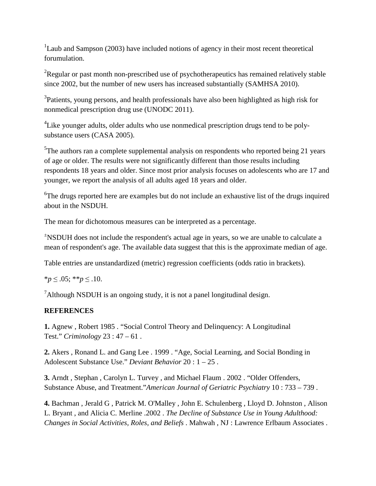<sup>1</sup>Laub and Sampson (2003) have included notions of agency in their most recent theoretical forumulation.

 $2R$ egular or past month non-prescribed use of psychotherapeutics has remained relatively stable since 2002, but the number of new users has increased substantially (SAMHSA 2010).

<sup>3</sup>Patients, young persons, and health professionals have also been highlighted as high risk for nonmedical prescription drug use (UNODC 2011).

<sup>4</sup>Like younger adults, older adults who use nonmedical prescription drugs tend to be polysubstance users (CASA 2005).

 $5$ The authors ran a complete supplemental analysis on respondents who reported being 21 years of age or older. The results were not significantly different than those results including respondents 18 years and older. Since most prior analysis focuses on adolescents who are 17 and younger, we report the analysis of all adults aged 18 years and older.

<sup>6</sup>The drugs reported here are examples but do not include an exhaustive list of the drugs inquired about in the NSDUH.

The mean for dichotomous measures can be interpreted as a percentage.

± NSDUH does not include the respondent's actual age in years, so we are unable to calculate a mean of respondent's age. The available data suggest that this is the approximate median of age.

Table entries are unstandardized (metric) regression coefficients (odds ratio in brackets).

 $*_{p}$  < .05;  $*_{p}$  < .10.

<sup>7</sup>Although NSDUH is an ongoing study, it is not a panel longitudinal design.

### **REFERENCES**

**1.** Agnew , Robert 1985 . "Social Control Theory and Delinquency: A Longitudinal Test." *Criminology* 23 : 47 – 61 .

**2.** Akers , Ronand L. and Gang Lee . 1999 . "Age, Social Learning, and Social Bonding in Adolescent Substance Use." *Deviant Behavior* 20 : 1 – 25 .

**3.** Arndt , Stephan , Carolyn L. Turvey , and Michael Flaum . 2002 . "Older Offenders, Substance Abuse, and Treatment."*American Journal of Geriatric Psychiatry* 10 : 733 – 739 .

**4.** Bachman , Jerald G , Patrick M. O'Malley , John E. Schulenberg , Lloyd D. Johnston , Alison L. Bryant , and Alicia C. Merline .2002 . *The Decline of Substance Use in Young Adulthood: Changes in Social Activities, Roles, and Beliefs* . Mahwah , NJ : Lawrence Erlbaum Associates .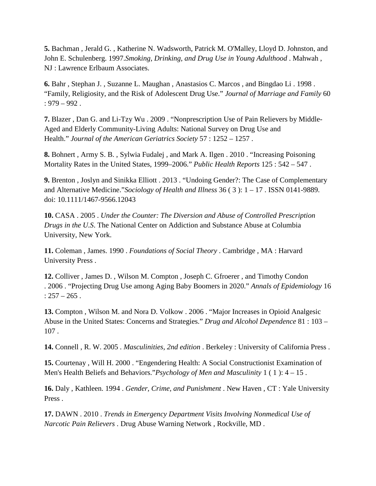**5.** Bachman , Jerald G. , Katherine N. Wadsworth, Patrick M. O'Malley, Lloyd D. Johnston, and John E. Schulenberg. 1997.*Smoking, Drinking, and Drug Use in Young Adulthood* . Mahwah , NJ : Lawrence Erlbaum Associates.

**6.** Bahr , Stephan J. , Suzanne L. Maughan , Anastasios C. Marcos , and Bingdao Li . 1998 . "Family, Religiosity, and the Risk of Adolescent Drug Use." *Journal of Marriage and Family* 60 : 979 – 992 .

**7.** Blazer , Dan G. and Li-Tzy Wu . 2009 . "Nonprescription Use of Pain Relievers by Middle-Aged and Elderly Community-Living Adults: National Survey on Drug Use and Health." *Journal of the American Geriatrics Society* 57 : 1252 – 1257 .

**8.** Bohnert , Army S. B. , Sylwia Fudalej , and Mark A. Ilgen . 2010 . "Increasing Poisoning Mortality Rates in the United States, 1999–2006." *Public Health Reports* 125 : 542 – 547 .

**9.** Brenton , Joslyn and Sinikka Elliott . 2013 . "Undoing Gender?: The Case of Complementary and Alternative Medicine."*Sociology of Health and Illness* 36 ( 3 ): 1 – 17 . ISSN 0141-9889. doi: 10.1111/1467-9566.12043

**10.** CASA . 2005 . *Under the Counter: The Diversion and Abuse of Controlled Prescription Drugs in the U.S*. The National Center on Addiction and Substance Abuse at Columbia University, New York.

**11.** Coleman , James. 1990 . *Foundations of Social Theory* . Cambridge , MA : Harvard University Press .

**12.** Colliver , James D. , Wilson M. Compton , Joseph C. Gfroerer , and Timothy Condon . 2006 . "Projecting Drug Use among Aging Baby Boomers in 2020." *Annals of Epidemiology* 16 :  $257 - 265$ .

**13.** Compton , Wilson M. and Nora D. Volkow . 2006 . "Major Increases in Opioid Analgesic Abuse in the United States: Concerns and Strategies." *Drug and Alcohol Dependence* 81 : 103 – 107 .

**14.** Connell , R. W. 2005 . *Masculinities, 2nd edition* . Berkeley : University of California Press .

**15.** Courtenay , Will H. 2000 . "Engendering Health: A Social Constructionist Examination of Men's Health Beliefs and Behaviors."*Psychology of Men and Masculinity* 1 ( 1 ): 4 – 15 .

**16.** Daly , Kathleen. 1994 . *Gender, Crime, and Punishment* . New Haven , CT : Yale University Press .

**17.** DAWN . 2010 . *Trends in Emergency Department Visits Involving Nonmedical Use of Narcotic Pain Relievers* . Drug Abuse Warning Network , Rockville, MD .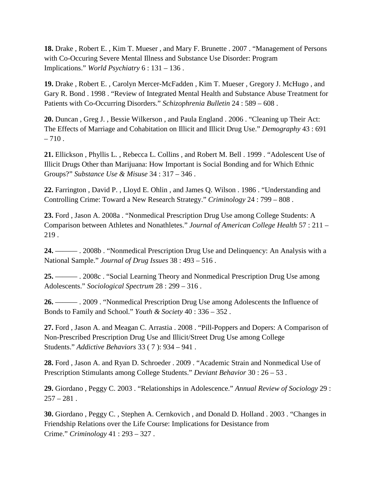**18.** Drake , Robert E. , Kim T. Mueser , and Mary F. Brunette . 2007 . "Management of Persons with Co-Occuring Severe Mental Illness and Substance Use Disorder: Program Implications." *World Psychiatry* 6 : 131 – 136 .

**19.** Drake , Robert E. , Carolyn Mercer-McFadden , Kim T. Mueser , Gregory J. McHugo , and Gary R. Bond . 1998 . "Review of Integrated Mental Health and Substance Abuse Treatment for Patients with Co-Occurring Disorders." *Schizophrenia Bulletin* 24 : 589 – 608 .

**20.** Duncan , Greg J. , Bessie Wilkerson , and Paula England . 2006 . "Cleaning up Their Act: The Effects of Marriage and Cohabitation on Illicit and Illicit Drug Use." *Demography* 43 : 691  $-710$ .

**21.** Ellickson , Phyllis L. , Rebecca L. Collins , and Robert M. Bell . 1999 . "Adolescent Use of Illicit Drugs Other than Marijuana: How Important is Social Bonding and for Which Ethnic Groups?" *Substance Use & Misuse* 34 : 317 – 346 .

**22.** Farrington , David P. , Lloyd E. Ohlin , and James Q. Wilson . 1986 . "Understanding and Controlling Crime: Toward a New Research Strategy." *Criminology* 24 : 799 – 808 .

**23.** Ford , Jason A. 2008a . "Nonmedical Prescription Drug Use among College Students: A Comparison between Athletes and Nonathletes." *Journal of American College Health* 57 : 211 – 219 .

**24.** ——— . 2008b . "Nonmedical Prescription Drug Use and Delinquency: An Analysis with a National Sample." *Journal of Drug Issues* 38 : 493 – 516 .

**25.** ——— . 2008c . "Social Learning Theory and Nonmedical Prescription Drug Use among Adolescents." *Sociological Spectrum* 28 : 299 – 316 .

**26.** ——— . 2009 . "Nonmedical Prescription Drug Use among Adolescents the Influence of Bonds to Family and School." *Youth & Society* 40 : 336 – 352 .

**27.** Ford , Jason A. and Meagan C. Arrastia . 2008 . "Pill-Poppers and Dopers: A Comparison of Non-Prescribed Prescription Drug Use and Illicit/Street Drug Use among College Students." *Addictive Behaviors* 33 ( 7 ): 934 – 941 .

**28.** Ford , Jason A. and Ryan D. Schroeder . 2009 . "Academic Strain and Nonmedical Use of Prescription Stimulants among College Students." *Deviant Behavior* 30 : 26 – 53 .

**29.** Giordano , Peggy C. 2003 . "Relationships in Adolescence." *Annual Review of Sociology* 29 :  $257 - 281$ .

**30.** Giordano , Peggy C. , Stephen A. Cernkovich , and Donald D. Holland . 2003 . "Changes in Friendship Relations over the Life Course: Implications for Desistance from Crime." *Criminology* 41 : 293 – 327 .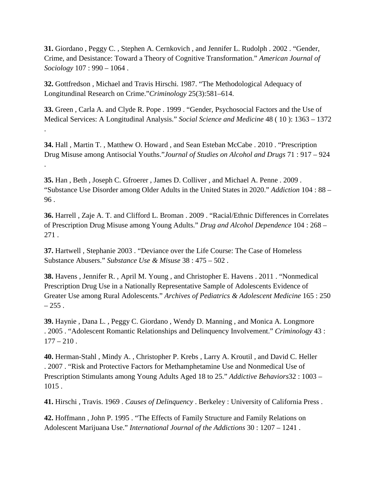**31.** Giordano , Peggy C. , Stephen A. Cernkovich , and Jennifer L. Rudolph . 2002 . "Gender, Crime, and Desistance: Toward a Theory of Cognitive Transformation." *American Journal of Sociology* 107 : 990 – 1064 .

**32.** Gottfredson , Michael and Travis Hirschi. 1987. "The Methodological Adequacy of Longitundinal Research on Crime."*Criminology* 25(3):581–614.

**33.** Green , Carla A. and Clyde R. Pope . 1999 . "Gender, Psychosocial Factors and the Use of Medical Services: A Longitudinal Analysis." *Social Science and Medicine* 48 ( 10 ): 1363 – 1372 .

**34.** Hall , Martin T. , Matthew O. Howard , and Sean Esteban McCabe . 2010 . "Prescription Drug Misuse among Antisocial Youths."*Journal of Studies on Alcohol and Drugs* 71 : 917 – 924 .

**35.** Han , Beth , Joseph C. Gfroerer , James D. Colliver , and Michael A. Penne . 2009 . "Substance Use Disorder among Older Adults in the United States in 2020." *Addiction* 104 : 88 – 96 .

**36.** Harrell , Zaje A. T. and Clifford L. Broman . 2009 . "Racial/Ethnic Differences in Correlates of Prescription Drug Misuse among Young Adults." *Drug and Alcohol Dependence* 104 : 268 – 271 .

**37.** Hartwell , Stephanie 2003 . "Deviance over the Life Course: The Case of Homeless Substance Abusers." *Substance Use & Misuse* 38 : 475 – 502 .

**38.** Havens , Jennifer R. , April M. Young , and Christopher E. Havens . 2011 . "Nonmedical Prescription Drug Use in a Nationally Representative Sample of Adolescents Evidence of Greater Use among Rural Adolescents." *Archives of Pediatrics & Adolescent Medicine* 165 : 250  $-255$ .

**39.** Haynie , Dana L. , Peggy C. Giordano , Wendy D. Manning , and Monica A. Longmore . 2005 . "Adolescent Romantic Relationships and Delinquency Involvement." *Criminology* 43 :  $177 - 210$ .

**40.** Herman-Stahl , Mindy A. , Christopher P. Krebs , Larry A. Kroutil , and David C. Heller . 2007 . "Risk and Protective Factors for Methamphetamine Use and Nonmedical Use of Prescription Stimulants among Young Adults Aged 18 to 25." *Addictive Behaviors*32 : 1003 – 1015 .

**41.** Hirschi , Travis. 1969 . *Causes of Delinquency* . Berkeley : University of California Press .

**42.** Hoffmann , John P. 1995 . "The Effects of Family Structure and Family Relations on Adolescent Marijuana Use." *International Journal of the Addictions* 30 : 1207 – 1241 .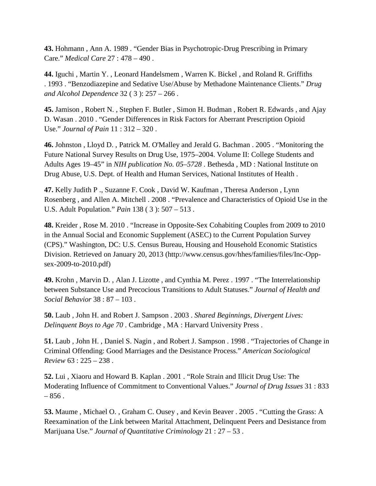**43.** Hohmann , Ann A. 1989 . "Gender Bias in Psychotropic-Drug Prescribing in Primary Care." *Medical Care* 27 : 478 – 490 .

**44.** Iguchi , Martin Y. , Leonard Handelsmem , Warren K. Bickel , and Roland R. Griffiths . 1993 . "Benzodiazepine and Sedative Use/Abuse by Methadone Maintenance Clients." *Drug and Alcohol Dependence* 32 ( 3 ): 257 – 266 .

**45.** Jamison , Robert N. , Stephen F. Butler , Simon H. Budman , Robert R. Edwards , and Ajay D. Wasan . 2010 . "Gender Differences in Risk Factors for Aberrant Prescription Opioid Use." *Journal of Pain* 11 : 312 – 320 .

**46.** Johnston , Lloyd D. , Patrick M. O'Malley and Jerald G. Bachman . 2005 . "Monitoring the Future National Survey Results on Drug Use, 1975–2004. Volume II: College Students and Adults Ages 19–45" in *NIH publication No. 05–5728* . Bethesda , MD : National Institute on Drug Abuse, U.S. Dept. of Health and Human Services, National Institutes of Health .

**47.** Kelly Judith P ., Suzanne F. Cook , David W. Kaufman , Theresa Anderson , Lynn Rosenberg , and Allen A. Mitchell . 2008 . "Prevalence and Characteristics of Opioid Use in the U.S. Adult Population." *Pain* 138 ( 3 ): 507 – 513 .

**48.** Kreider , Rose M. 2010 . "Increase in Opposite-Sex Cohabiting Couples from 2009 to 2010 in the Annual Social and Economic Supplement (ASEC) to the Current Population Survey (CPS)." Washington, DC: U.S. Census Bureau, Housing and Household Economic Statistics Division. Retrieved on January 20, 2013 (http://www.census.gov/hhes/families/files/Inc-Oppsex-2009-to-2010.pdf)

**49.** Krohn , Marvin D. , Alan J. Lizotte , and Cynthia M. Perez . 1997 . "The Interrelationship between Substance Use and Precocious Transitions to Adult Statuses." *Journal of Health and Social Behavior* 38 : 87 – 103 .

**50.** Laub , John H. and Robert J. Sampson . 2003 . *Shared Beginnings, Divergent Lives: Delinquent Boys to Age 70* . Cambridge , MA : Harvard University Press .

**51.** Laub , John H. , Daniel S. Nagin , and Robert J. Sampson . 1998 . "Trajectories of Change in Criminal Offending: Good Marriages and the Desistance Process." *American Sociological Review* 63 : 225 – 238 .

**52.** Lui , Xiaoru and Howard B. Kaplan . 2001 . "Role Strain and Illicit Drug Use: The Moderating Influence of Commitment to Conventional Values." *Journal of Drug Issues* 31 : 833  $-856$ .

**53.** Maume , Michael O. , Graham C. Ousey , and Kevin Beaver . 2005 . "Cutting the Grass: A Reexamination of the Link between Marital Attachment, Delinquent Peers and Desistance from Marijuana Use." *Journal of Quantitative Criminology* 21 : 27 – 53 .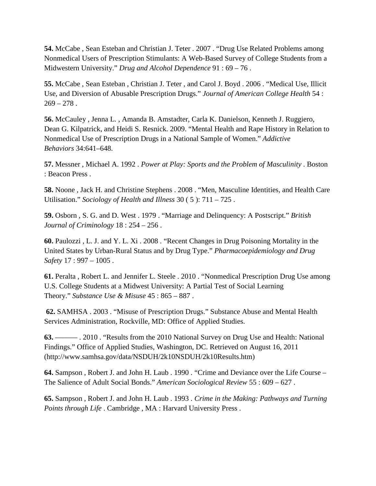**54.** McCabe , Sean Esteban and Christian J. Teter . 2007 . "Drug Use Related Problems among Nonmedical Users of Prescription Stimulants: A Web-Based Survey of College Students from a Midwestern University." *Drug and Alcohol Dependence* 91 : 69 – 76 .

**55.** McCabe , Sean Esteban , Christian J. Teter , and Carol J. Boyd . 2006 . "Medical Use, Illicit Use, and Diversion of Abusable Prescription Drugs." *Journal of American College Health* 54 :  $269 - 278$ .

**56.** McCauley , Jenna L. , Amanda B. Amstadter, Carla K. Danielson, Kenneth J. Ruggiero, Dean G. Kilpatrick, and Heidi S. Resnick. 2009. "Mental Health and Rape History in Relation to Nonmedical Use of Prescription Drugs in a National Sample of Women." *Addictive Behaviors* 34:641–648.

**57.** Messner , Michael A. 1992 . *Power at Play: Sports and the Problem of Masculinity* . Boston : Beacon Press .

**58.** Noone , Jack H. and Christine Stephens . 2008 . "Men, Masculine Identities, and Health Care Utilisation." *Sociology of Health and Illness* 30 ( 5 ): 711 – 725 .

**59.** Osborn , S. G. and D. West . 1979 . "Marriage and Delinquency: A Postscript." *British Journal of Criminology* 18 : 254 – 256 .

**60.** Paulozzi , L. J. and Y. L. Xi . 2008 . "Recent Changes in Drug Poisoning Mortality in the United States by Urban-Rural Status and by Drug Type." *Pharmacoepidemiology and Drug Safety* 17 : 997 – 1005 .

**61.** Peralta , Robert L. and Jennifer L. Steele . 2010 . "Nonmedical Prescription Drug Use among U.S. College Students at a Midwest University: A Partial Test of Social Learning Theory." *Substance Use & Misuse* 45 : 865 – 887 .

**62.** SAMHSA . 2003 . "Misuse of Prescription Drugs." Substance Abuse and Mental Health Services Administration, Rockville, MD: Office of Applied Studies.

**63.** ——— . 2010 . "Results from the 2010 National Survey on Drug Use and Health: National Findings." Office of Applied Studies, Washington, DC. Retrieved on August 16, 2011 (http://www.samhsa.gov/data/NSDUH/2k10NSDUH/2k10Results.htm)

**64.** Sampson , Robert J. and John H. Laub . 1990 . "Crime and Deviance over the Life Course – The Salience of Adult Social Bonds." *American Sociological Review* 55 : 609 – 627 .

**65.** Sampson , Robert J. and John H. Laub . 1993 . *Crime in the Making: Pathways and Turning Points through Life* . Cambridge , MA : Harvard University Press .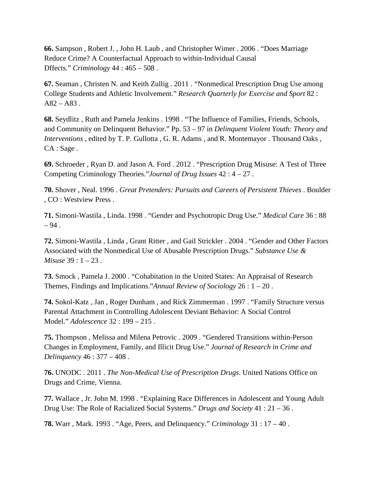**66.** Sampson , Robert J. , John H. Laub , and Christopher Wimer . 2006 . "Does Marriage Reduce Crime? A Counterfactual Approach to within-Individual Causal Dffects." *Criminology* 44 : 465 – 508 .

**67.** Seaman , Christen N. and Keith Zullig . 2011 . "Nonmedical Prescription Drug Use among College Students and Athletic Involvement." *Research Quarterly for Exercise and Sport* 82 :  $A82 - A83$ .

**68.** Seydlitz , Ruth and Pamela Jenkins . 1998 . "The Influence of Families, Friends, Schools, and Community on Delinquent Behavior." Pp. 53 – 97 in *Delinquent Violent Youth: Theory and Interventions* , edited by T. P. Gullotta , G. R. Adams , and R. Montemayor . Thousand Oaks , CA : Sage .

**69.** Schroeder , Ryan D. and Jason A. Ford . 2012 . "Prescription Drug Misuse: A Test of Three Competing Criminology Theories."*Journal of Drug Issues* 42 : 4 – 27 .

**70.** Shover , Neal. 1996 . *Great Pretenders: Pursuits and Careers of Persistent Thieves* . Boulder , CO : Westview Press .

**71.** Simoni-Wastila , Linda. 1998 . "Gender and Psychotropic Drug Use." *Medical Care* 36 : 88  $-94$ .

**72.** Simoni-Wastila , Linda , Grant Ritter , and Gail Strickler . 2004 . "Gender and Other Factors Associated with the Nonmedical Use of Abusable Prescription Drugs." *Substance Use & Misuse* 39 : 1 – 23 .

**73.** Smock , Pamela J. 2000 . "Cohabitation in the United States: An Appraisal of Research Themes, Findings and Implications."*Annual Review of Sociology* 26 : 1 – 20 .

**74.** Sokol-Katz , Jan , Roger Dunham , and Rick Zimmerman . 1997 . "Family Structure versus Parental Attachment in Controlling Adolescent Deviant Behavior: A Social Control Model." *Adolescence* 32 : 199 – 215 .

**75.** Thompson , Melissa and Milena Petrovic . 2009 . "Gendered Transitions within-Person Changes in Employment, Family, and Illicit Drug Use." *Journal of Research in Crime and Delinquency* 46 : 377 – 408 .

**76.** UNODC . 2011 . *The Non-Medical Use of Prescription Drugs*. United Nations Office on Drugs and Crime, Vienna.

**77.** Wallace , Jr. John M. 1998 . "Explaining Race Differences in Adolescent and Young Adult Drug Use: The Role of Racialized Social Systems." *Drugs and Society* 41 : 21 – 36 .

**78.** Warr , Mark. 1993 . "Age, Peers, and Delinquency." *Criminology* 31 : 17 – 40 .